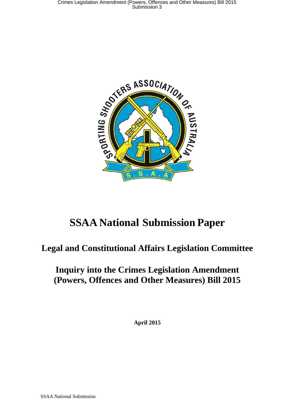

# **SSAA National Submission Paper**

## **Legal and Constitutional Affairs Legislation Committee**

## **Inquiry into the Crimes Legislation Amendment (Powers, Offences and Other Measures) Bill 2015**

**April 2015**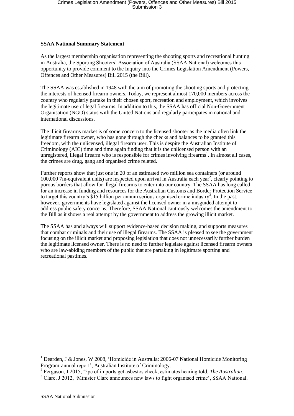#### **SSAA National Summary Statement**

As the largest membership organisation representing the shooting sports and recreational hunting in Australia, the Sporting Shooters' Association of Australia (SSAA National) welcomes this opportunity to provide comment to the Inquiry into the Crimes Legislation Amendment (Powers, Offences and Other Measures) Bill 2015 (the Bill).

The SSAA was established in 1948 with the aim of promoting the shooting sports and protecting the interests of licensed firearm owners. Today, we represent almost 170,000 members across the country who regularly partake in their chosen sport, recreation and employment, which involves the legitimate use of legal firearms. In addition to this, the SSAA has official Non-Government Organisation (NGO) status with the United Nations and regularly participates in national and international discussions.

The illicit firearms market is of some concern to the licensed shooter as the media often link the legitimate firearm owner, who has gone through the checks and balances to be granted this freedom, with the unlicensed, illegal firearm user. This is despite the Australian Institute of Criminology (AIC) time and time again finding that it is the unlicensed person with an unregistered, illegal firearm who is responsible for crimes involving firearms<sup>1</sup>. In almost all cases, the crimes are drug, gang and organised crime related.

Further reports show that just one in 20 of an estimated two million sea containers (or around 100,000  $7$ m-equivalent units) are inspected upon arrival in Australia each year<sup>2</sup>, clearly pointing to porous borders that allow for illegal firearms to enter into our country. The SSAA has long called for an increase in funding and resources for the Australian Customs and Border Protection Service to target this country's  $\overline{\$15}$  billion per annum serious organised crime industry<sup>3</sup>. In the past, however, governments have legislated against the licensed owner in a misguided attempt to address public safety concerns. Therefore, SSAA National cautiously welcomes the amendment to the Bill as it shows a real attempt by the government to address the growing illicit market.

The SSAA has and always will support evidence-based decision making, and supports measures that combat criminals and their use of illegal firearms. The SSAA is pleased to see the government focusing on the illicit market and proposing legislation that does not unnecessarily further burden the legitimate licensed owner. There is no need to further legislate against licensed firearm owners who are law-abiding members of the public that are partaking in legitimate sporting and recreational pastimes.

 $\overline{\phantom{a}}$ 

<sup>&</sup>lt;sup>1</sup> Dearden, J & Jones, W 2008, 'Homicide in Australia: 2006-07 National Homicide Monitoring Program annual report', Australian Institute of Criminology.

<sup>2</sup> Ferguson, J 2015, '5pc of imports get asbestos check, estimates hearing told, *The Australian.*

<sup>&</sup>lt;sup>3</sup> Clare, J 2012, 'Minister Clare announces new laws to fight organised crime', SSAA National.